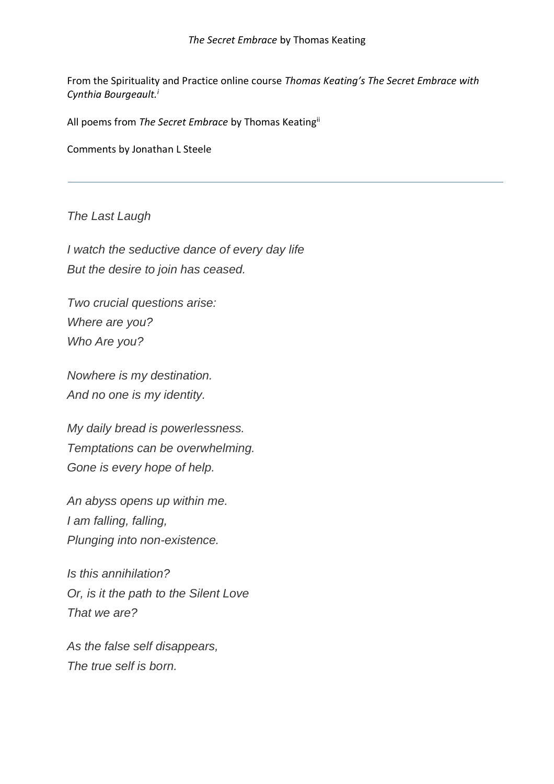From the Spirituality and Practice online course *Thomas Keating's The Secret Embrace with Cynthia Bourgeault.<sup>i</sup>*

All poems from *The Secret Embrace* by Thomas Keatingii

Comments by Jonathan L Steele

*The Last Laugh*

*I watch the seductive dance of every day life But the desire to join has ceased.*

*Two crucial questions arise: Where are you? Who Are you?*

*Nowhere is my destination. And no one is my identity.*

*My daily bread is powerlessness. Temptations can be overwhelming. Gone is every hope of help.*

*An abyss opens up within me. I am falling, falling, Plunging into non-existence.*

*Is this annihilation? Or, is it the path to the Silent Love That we are?*

*As the false self disappears, The true self is born.*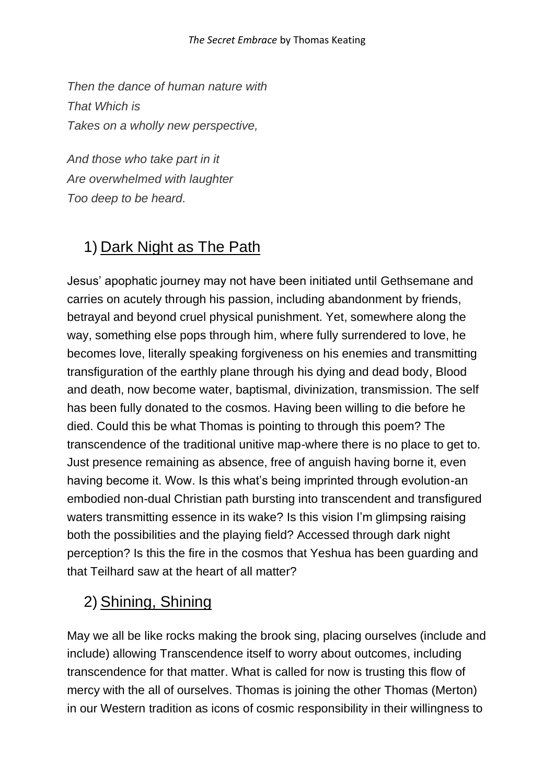*Then the dance of human nature with That Which is Takes on a wholly new perspective,*

*And those who take part in it Are overwhelmed with laughter Too deep to be heard.*

# 1) Dark Night as The Path

Jesus' apophatic journey may not have been initiated until Gethsemane and carries on acutely through his passion, including abandonment by friends, betrayal and beyond cruel physical punishment. Yet, somewhere along the way, something else pops through him, where fully surrendered to love, he becomes love, literally speaking forgiveness on his enemies and transmitting transfiguration of the earthly plane through his dying and dead body, Blood and death, now become water, baptismal, divinization, transmission. The self has been fully donated to the cosmos. Having been willing to die before he died. Could this be what Thomas is pointing to through this poem? The transcendence of the traditional unitive map-where there is no place to get to. Just presence remaining as absence, free of anguish having borne it, even having become it. Wow. Is this what's being imprinted through evolution-an embodied non-dual Christian path bursting into transcendent and transfigured waters transmitting essence in its wake? Is this vision I'm glimpsing raising both the possibilities and the playing field? Accessed through dark night perception? Is this the fire in the cosmos that Yeshua has been guarding and that Teilhard saw at the heart of all matter?

### 2) Shining, Shining

May we all be like rocks making the brook sing, placing ourselves (include and include) allowing Transcendence itself to worry about outcomes, including transcendence for that matter. What is called for now is trusting this flow of mercy with the all of ourselves. Thomas is joining the other Thomas (Merton) in our Western tradition as icons of cosmic responsibility in their willingness to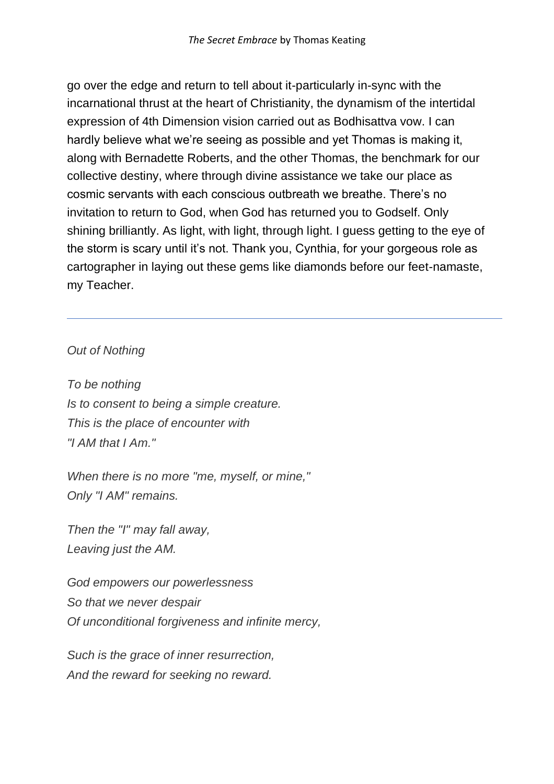go over the edge and return to tell about it-particularly in-sync with the incarnational thrust at the heart of Christianity, the dynamism of the intertidal expression of 4th Dimension vision carried out as Bodhisattva vow. I can hardly believe what we're seeing as possible and yet Thomas is making it, along with Bernadette Roberts, and the other Thomas, the benchmark for our collective destiny, where through divine assistance we take our place as cosmic servants with each conscious outbreath we breathe. There's no invitation to return to God, when God has returned you to Godself. Only shining brilliantly. As light, with light, through light. I guess getting to the eye of the storm is scary until it's not. Thank you, Cynthia, for your gorgeous role as cartographer in laying out these gems like diamonds before our feet-namaste, my Teacher.

#### *Out of Nothing*

*To be nothing Is to consent to being a simple creature. This is the place of encounter with "I AM that I Am."*

*When there is no more "me, myself, or mine," Only "I AM" remains.*

*Then the "I" may fall away, Leaving just the AM.*

*God empowers our powerlessness So that we never despair Of unconditional forgiveness and infinite mercy,*

*Such is the grace of inner resurrection, And the reward for seeking no reward.*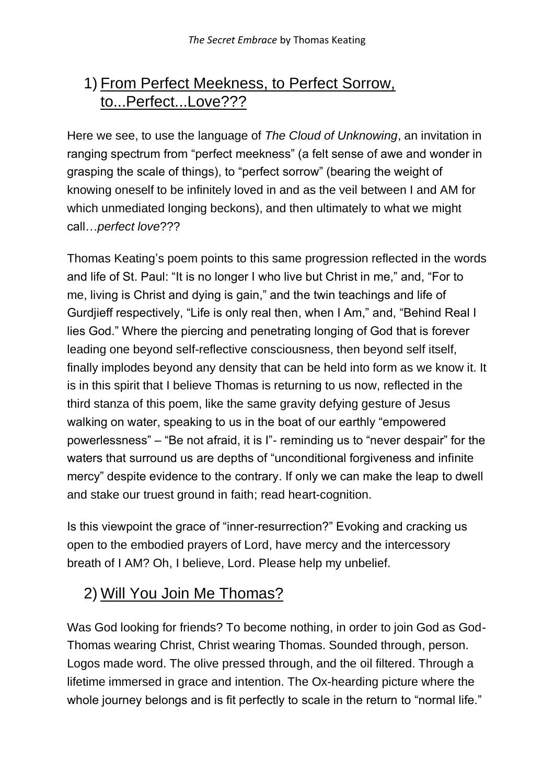### 1) From Perfect Meekness, to Perfect Sorrow, to...Perfect...Love???

Here we see, to use the language of *The Cloud of Unknowing*, an invitation in ranging spectrum from "perfect meekness" (a felt sense of awe and wonder in grasping the scale of things), to "perfect sorrow" (bearing the weight of knowing oneself to be infinitely loved in and as the veil between I and AM for which unmediated longing beckons), and then ultimately to what we might call…*perfect love*???

Thomas Keating's poem points to this same progression reflected in the words and life of St. Paul: "It is no longer I who live but Christ in me," and, "For to me, living is Christ and dying is gain," and the twin teachings and life of Gurdjieff respectively, "Life is only real then, when I Am," and, "Behind Real I lies God." Where the piercing and penetrating longing of God that is forever leading one beyond self-reflective consciousness, then beyond self itself, finally implodes beyond any density that can be held into form as we know it. It is in this spirit that I believe Thomas is returning to us now, reflected in the third stanza of this poem, like the same gravity defying gesture of Jesus walking on water, speaking to us in the boat of our earthly "empowered powerlessness" – "Be not afraid, it is I"- reminding us to "never despair" for the waters that surround us are depths of "unconditional forgiveness and infinite mercy" despite evidence to the contrary. If only we can make the leap to dwell and stake our truest ground in faith; read heart-cognition.

Is this viewpoint the grace of "inner-resurrection?" Evoking and cracking us open to the embodied prayers of Lord, have mercy and the intercessory breath of I AM? Oh, I believe, Lord. Please help my unbelief.

### 2) Will You Join Me Thomas?

Was God looking for friends? To become nothing, in order to join God as God-Thomas wearing Christ, Christ wearing Thomas. Sounded through, person. Logos made word. The olive pressed through, and the oil filtered. Through a lifetime immersed in grace and intention. The Ox-hearding picture where the whole journey belongs and is fit perfectly to scale in the return to "normal life."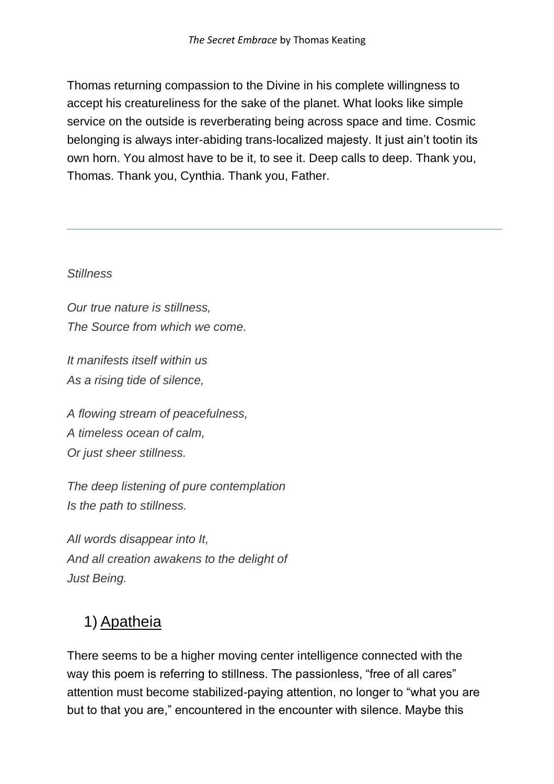Thomas returning compassion to the Divine in his complete willingness to accept his creatureliness for the sake of the planet. What looks like simple service on the outside is reverberating being across space and time. Cosmic belonging is always inter-abiding trans-localized majesty. It just ain't tootin its own horn. You almost have to be it, to see it. Deep calls to deep. Thank you, Thomas. Thank you, Cynthia. Thank you, Father.

#### *Stillness*

*Our true nature is stillness, The Source from which we come.*

*It manifests itself within us As a rising tide of silence,*

*A flowing stream of peacefulness, A timeless ocean of calm, Or just sheer stillness.*

*The deep listening of pure contemplation Is the path to stillness.*

*All words disappear into It, And all creation awakens to the delight of Just Being.*

# 1) Apatheia

There seems to be a higher moving center intelligence connected with the way this poem is referring to stillness. The passionless, "free of all cares" attention must become stabilized-paying attention, no longer to "what you are but to that you are," encountered in the encounter with silence. Maybe this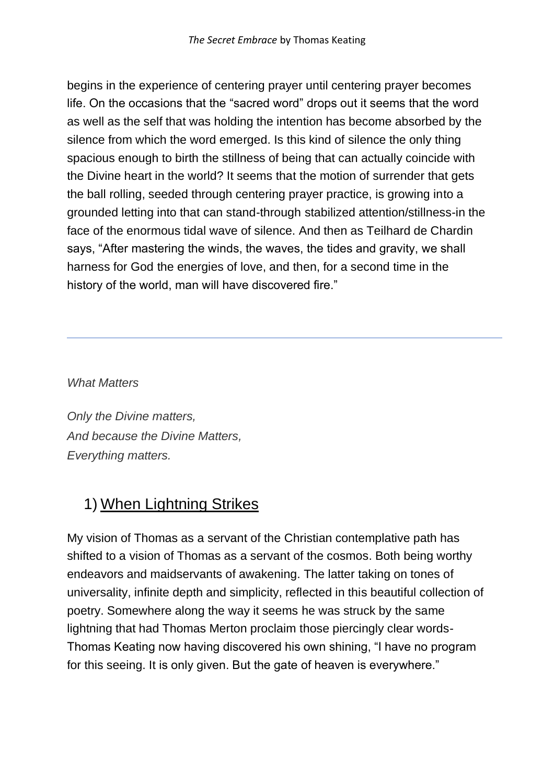begins in the experience of centering prayer until centering prayer becomes life. On the occasions that the "sacred word" drops out it seems that the word as well as the self that was holding the intention has become absorbed by the silence from which the word emerged. Is this kind of silence the only thing spacious enough to birth the stillness of being that can actually coincide with the Divine heart in the world? It seems that the motion of surrender that gets the ball rolling, seeded through centering prayer practice, is growing into a grounded letting into that can stand-through stabilized attention/stillness-in the face of the enormous tidal wave of silence. And then as Teilhard de Chardin says, "After mastering the winds, the waves, the tides and gravity, we shall harness for God the energies of love, and then, for a second time in the history of the world, man will have discovered fire."

*What Matters*

*Only the Divine matters, And because the Divine Matters, Everything matters.*

# 1) When Lightning Strikes

My vision of Thomas as a servant of the Christian contemplative path has shifted to a vision of Thomas as a servant of the cosmos. Both being worthy endeavors and maidservants of awakening. The latter taking on tones of universality, infinite depth and simplicity, reflected in this beautiful collection of poetry. Somewhere along the way it seems he was struck by the same lightning that had Thomas Merton proclaim those piercingly clear words-Thomas Keating now having discovered his own shining, "I have no program for this seeing. It is only given. But the gate of heaven is everywhere."